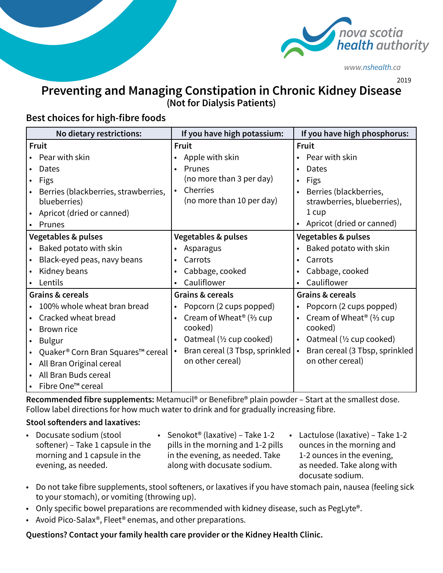

*www.nshealth.ca* 

2019

# **Preventing and Managing Constipation in Chronic Kidney Disease**

**(Not for Dialysis Patients)**

## **Best choices for high-fibre foods**

| No dietary restrictions:             | If you have high potassium:                     | If you have high phosphorus:                |
|--------------------------------------|-------------------------------------------------|---------------------------------------------|
| Fruit                                | Fruit                                           | Fruit                                       |
| Pear with skin                       | Apple with skin                                 | Pear with skin                              |
| Dates                                | Prunes                                          | Dates                                       |
| Figs                                 | (no more than 3 per day)                        | Figs<br>$\bullet$                           |
| Berries (blackberries, strawberries, | Cherries                                        | Berries (blackberries,<br>$\bullet$         |
| blueberries)                         | (no more than 10 per day)                       | strawberries, blueberries),                 |
| Apricot (dried or canned)            |                                                 | 1 cup                                       |
| Prunes                               |                                                 | Apricot (dried or canned)                   |
| <b>Vegetables &amp; pulses</b>       | <b>Vegetables &amp; pulses</b>                  | <b>Vegetables &amp; pulses</b>              |
| Baked potato with skin               | Asparagus<br>$\bullet$                          | Baked potato with skin                      |
| Black-eyed peas, navy beans          | Carrots                                         | Carrots                                     |
| Kidney beans                         | Cabbage, cooked                                 | Cabbage, cooked                             |
| Lentils                              | Cauliflower                                     | Cauliflower                                 |
| Grains & cereals                     | Grains & cereals                                | Grains & cereals                            |
| 100% whole wheat bran bread          | Popcorn (2 cups popped)                         | Popcorn (2 cups popped)<br>$\bullet$        |
| Cracked wheat bread                  | Cream of Wheat <sup>®</sup> ( $\frac{2}{3}$ cup | Cream of Wheat <sup>®</sup> (% cup          |
| Brown rice                           | cooked)                                         | cooked)                                     |
| <b>Bulgur</b>                        | Oatmeal (1/2 cup cooked)<br>$\bullet$           | Oatmeal (1/2 cup cooked)                    |
| Quaker® Corn Bran Squares™ cereal    | Bran cereal (3 Tbsp, sprinkled                  | Bran cereal (3 Tbsp, sprinkled<br>$\bullet$ |
| All Bran Original cereal             | on other cereal)                                | on other cereal)                            |
| All Bran Buds cereal                 |                                                 |                                             |
| Fibre One™ cereal                    |                                                 |                                             |

**Recommended fibre supplements:** Metamucil® or Benefibre® plain powder – Start at the smallest dose. Follow label directions for how much water to drink and for gradually increasing fibre.

#### **Stool softenders and laxatives:**

- Docusate sodium (stool softener) – Take 1 capsule in the morning and 1 capsule in the evening, as needed.
- Senokot® (laxative) Take 1-2 pills in the morning and 1-2 pills in the evening, as needed. Take along with docusate sodium.
- Lactulose (laxative) Take 1-2 ounces in the morning and 1-2 ounces in the evening, as needed. Take along with docusate sodium.
- Do not take fibre supplements, stool softeners, or laxatives if you have stomach pain, nausea (feeling sick to your stomach), or vomiting (throwing up).
- Only specific bowel preparations are recommended with kidney disease, such as PegLyte®.
- Avoid Pico-Salax®, Fleet® enemas, and other preparations.

### **Questions? Contact your family health care provider or the Kidney HeaIth Clinic.**